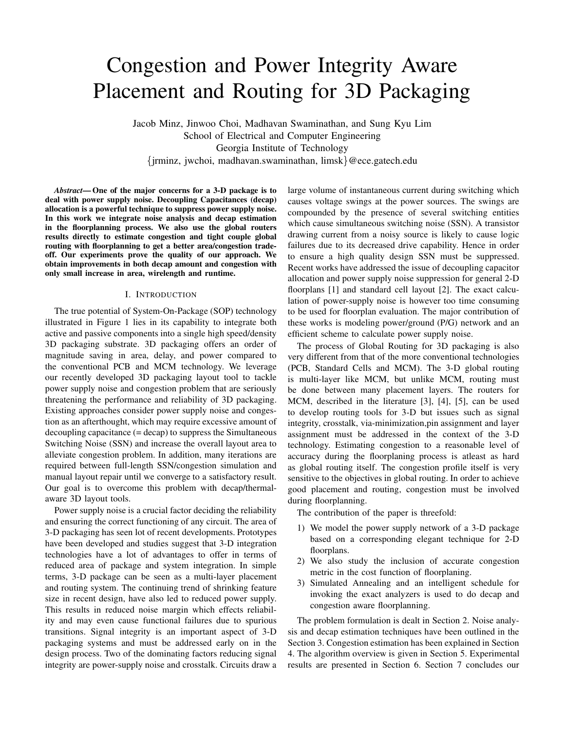# Congestion and Power Integrity Aware Placement and Routing for 3D Packaging

Jacob Minz, Jinwoo Choi, Madhavan Swaminathan, and Sung Kyu Lim School of Electrical and Computer Engineering Georgia Institute of Technology jrminz, jwchoi, madhavan.swaminathan, limsk @ece.gatech.edu

*Abstract***— One of the major concerns for a 3-D package is to deal with power supply noise. Decoupling Capacitances (decap) allocation is a powerful technique to suppress power supply noise. In this work we integrate noise analysis and decap estimation in the floorplanning process. We also use the global routers results directly to estimate congestion and tight couple global routing with floorplanning to get a better area/congestion tradeoff. Our experiments prove the quality of our approach. We obtain improvements in both decap amount and congestion with only small increase in area, wirelength and runtime.**

# I. INTRODUCTION

The true potential of System-On-Package (SOP) technology illustrated in Figure 1 lies in its capability to integrate both active and passive components into a single high speed/density 3D packaging substrate. 3D packaging offers an order of magnitude saving in area, delay, and power compared to the conventional PCB and MCM technology. We leverage our recently developed 3D packaging layout tool to tackle power supply noise and congestion problem that are seriously threatening the performance and reliability of 3D packaging. Existing approaches consider power supply noise and congestion as an afterthought, which may require excessive amount of decoupling capacitance (= decap) to suppress the Simultaneous Switching Noise (SSN) and increase the overall layout area to alleviate congestion problem. In addition, many iterations are required between full-length SSN/congestion simulation and manual layout repair until we converge to a satisfactory result. Our goal is to overcome this problem with decap/thermalaware 3D layout tools.

Power supply noise is a crucial factor deciding the reliability and ensuring the correct functioning of any circuit. The area of 3-D packaging has seen lot of recent developments. Prototypes have been developed and studies suggest that 3-D integration technologies have a lot of advantages to offer in terms of reduced area of package and system integration. In simple terms, 3-D package can be seen as a multi-layer placement and routing system. The continuing trend of shrinking feature size in recent design, have also led to reduced power supply. This results in reduced noise margin which effects reliability and may even cause functional failures due to spurious transitions. Signal integrity is an important aspect of 3-D packaging systems and must be addressed early on in the design process. Two of the dominating factors reducing signal integrity are power-supply noise and crosstalk. Circuits draw a

large volume of instantaneous current during switching which causes voltage swings at the power sources. The swings are compounded by the presence of several switching entities which cause simultaneous switching noise (SSN). A transistor drawing current from a noisy source is likely to cause logic failures due to its decreased drive capability. Hence in order to ensure a high quality design SSN must be suppressed. Recent works have addressed the issue of decoupling capacitor allocation and power supply noise suppression for general 2-D floorplans [1] and standard cell layout [2]. The exact calculation of power-supply noise is however too time consuming to be used for floorplan evaluation. The major contribution of these works is modeling power/ground (P/G) network and an efficient scheme to calculate power supply noise.

The process of Global Routing for 3D packaging is also very different from that of the more conventional technologies (PCB, Standard Cells and MCM). The 3-D global routing is multi-layer like MCM, but unlike MCM, routing must be done between many placement layers. The routers for MCM, described in the literature [3], [4], [5], can be used to develop routing tools for 3-D but issues such as signal integrity, crosstalk, via-minimization,pin assignment and layer assignment must be addressed in the context of the 3-D technology. Estimating congestion to a reasonable level of accuracy during the floorplaning process is atleast as hard as global routing itself. The congestion profile itself is very sensitive to the objectives in global routing. In order to achieve good placement and routing, congestion must be involved during floorplanning.

The contribution of the paper is threefold:

- 1) We model the power supply network of a 3-D package based on a corresponding elegant technique for 2-D floorplans.
- 2) We also study the inclusion of accurate congestion metric in the cost function of floorplaning.
- 3) Simulated Annealing and an intelligent schedule for invoking the exact analyzers is used to do decap and congestion aware floorplanning.

The problem formulation is dealt in Section 2. Noise analysis and decap estimation techniques have been outlined in the Section 3. Congestion estimation has been explained in Section 4. The algorithm overview is given in Section 5. Experimental results are presented in Section 6. Section 7 concludes our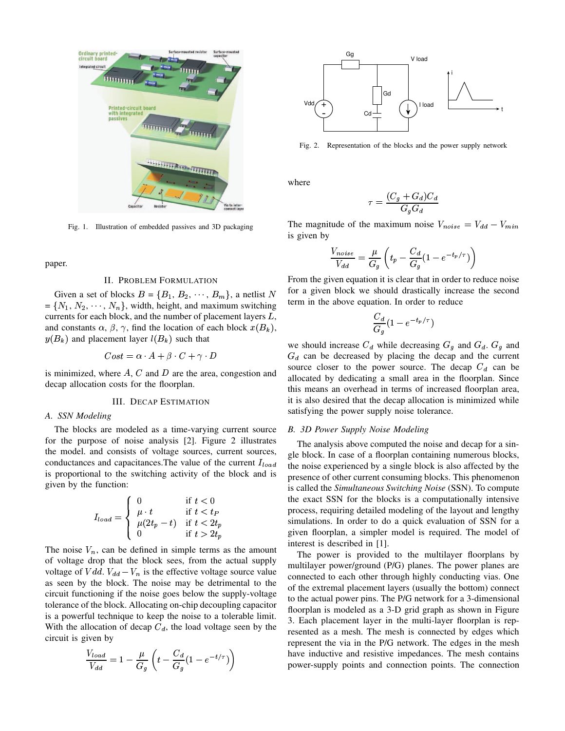

Fig. 1. Illustration of embedded passives and 3D packaging

paper.

#### II. PROBLEM FORMULATION

Given a set of blocks  $B = \{B_1, B_2, \dots, B_m\}$ , a netlist N <sup>101</sup> a given blo  $= \{N_1, N_2, \cdots, N_n\}$ , width, height, and maximum switching currents for each block, and the number of placement layers  $L$ , and constants  $\alpha$ ,  $\beta$ ,  $\gamma$ , find the location of each block  $x(B_k)$ ,  $y(B_k)$  and placement layer  $l(B_k)$  such that

$$
Cost = \alpha \cdot A + \beta \cdot C + \gamma \cdot D
$$

is minimized, where  $A$ ,  $C$  and  $D$  are the area, congestion and decap allocation costs for the floorplan.

## III. DECAP ESTIMATION

#### *A. SSN Modeling*

The blocks are modeled as a time-varying current source for the purpose of noise analysis [2]. Figure 2 illustrates the model. and consists of voltage sources, current sources, conductances and capacitances. The value of the current  $I_{load}$ is proportional to the switching activity of the block and is given by the function:

$$
I_{load} = \begin{cases} 0 & \text{if } t < 0\\ \mu \cdot t & \text{if } t < t_P\\ \mu(2t_p - t) & \text{if } t < 2t_p\\ 0 & \text{if } t > 2t_p \end{cases}
$$

The noise  $V_n$ , can be defined in simple terms as the amount of voltage drop that the block sees, from the actual supply voltage of  $Vdd$ .  $V_{dd} - V_n$  is the effective voltage source value as seen by the block. The noise may be detrimental to the circuit functioning if the noise goes below the supply-voltage tolerance of the block. Allocating on-chip decoupling capacitor is a powerful technique to keep the noise to a tolerable limit. With the allocation of decap  $C_d$ , the load voltage seen by the circuit is given by

$$
\frac{V_{load}}{V_{dd}} = 1 - \frac{\mu}{G_g} \left( t - \frac{C_d}{G_g} (1 - e^{-t/\tau}) \right)
$$



Fig. 2. Representation of the blocks and the power supply network

where

$$
\tau = \frac{(C_g + G_d)C_d}{G_g G_d}
$$

The magnitude of the maximum noise  $V_{noise} = V_{dd} - V_{min}$ is given by

$$
\frac{V_{noise}}{V_{dd}} = \frac{\mu}{G_g} \left( t_p - \frac{C_d}{G_g} (1 - e^{-t_p/\tau}) \right)
$$

From the given equation it is clear that in order to reduce noise for a given block we should drastically increase the second term in the above equation. In order to reduce

$$
\frac{C_d}{G_g}(1-e^{-t_p/\tau})
$$

we should increase  $C_d$  while decreasing  $G_q$  and  $G_d$ .  $G_q$  and  $G_d$  can be decreased by placing the decap and the current source closer to the power source. The decap  $C_d$  can be allocated by dedicating a small area in the floorplan. Since this means an overhead in terms of increased floorplan area, it is also desired that the decap allocation is minimized while satisfying the power supply noise tolerance.

#### *B. 3D Power Supply Noise Modeling*

The analysis above computed the noise and decap for a single block. In case of a floorplan containing numerous blocks, the noise experienced by a single block is also affected by the presence of other current consuming blocks. This phenomenon is called the *Simultaneous Switching Noise* (SSN). To compute the exact SSN for the blocks is a computationally intensive process, requiring detailed modeling of the layout and lengthy simulations. In order to do a quick evaluation of SSN for a given floorplan, a simpler model is required. The model of interest is described in [1].

The power is provided to the multilayer floorplans by multilayer power/ground (P/G) planes. The power planes are connected to each other through highly conducting vias. One of the extremal placement layers (usually the bottom) connect to the actual power pins. The P/G network for a 3-dimensional floorplan is modeled as a 3-D grid graph as shown in Figure 3. Each placement layer in the multi-layer floorplan is represented as a mesh. The mesh is connected by edges which represent the via in the P/G network. The edges in the mesh have inductive and resistive impedances. The mesh contains power-supply points and connection points. The connection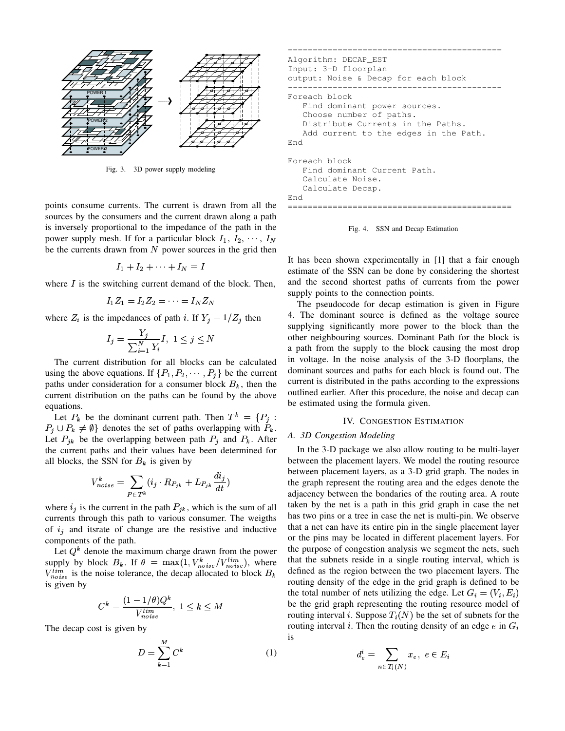

Fig. 3. 3D power supply modeling

points consume currents. The current is drawn from all the sources by the consumers and the current drawn along a path is inversely proportional to the impedance of the path in the power supply mesh. If for a particular block  $I_1, I_2, \cdots, I_N$ be the currents drawn from  $N$  power sources in the grid then

$$
I_1+I_2+\cdots+I_N=I
$$

where  $I$  is the switching current demand of the block. Then,

$$
I_1Z_1 = I_2Z_2 = \cdots = I_NZ_N
$$

where  $Z_i$  is the impedances of path i. If  $Y_j = 1/Z_j$  then

$$
I_j = \frac{Y_j}{\sum_{i=1}^N Y_i} I, \ 1 \le j \le N
$$

The current distribution for all blocks can be calculated using the above equations. If  $\{P_1, P_2, \cdots, P_i\}$  be the current paths under consideration for a consumer block  $B_k$ , then the current distribution on the paths can be found by the above equations.

Let  $P_k$  be the dominant current path. Then  $T^k = \{P_j : S \}$  $P_j \cup P_k \neq \emptyset$  denotes the set of paths overlapping with  $P_k$ . Let  $P_{jk}$  be the overlapping between path  $P_j$  and  $P_k$ . After the current paths and their values have been determined for all blocks, the SSN for  $B_k$  is given by

$$
V_{noise}^k = \sum_{P \in T^k} (i_j \cdot R_{P_{jk}} + L_{P_{jk}} \frac{di_j}{dt})
$$

where  $i_j$  is the current in the path  $P_{jk}$ , which is the sum of all currents through this path to various consumer. The weigths of  $i_j$  and itsrate of change are the resistive and inductive components of the path.

Let  $Q^k$  denote the maximum charge drawn from the power supply by block  $B_k$ . If  $\theta = \max(1, V_{noise}^k / V_{noise}^{tim})$ , where  $V_{noise}^{lim}$  is the noise tolerance, the decap allocated to block  $B_k$  define is given by

$$
C^k = \frac{(1 - 1/\theta)Q^k}{V_{noise}^{lim}}, 1 \le k \le M
$$

The decap cost is given by

$$
D = \sum_{k=1}^{M} C^k \tag{1}
$$

```
===========================================
Algorithm: DECAP_EST
Input: 3-D floorplan
output: Noise & Decap for each block
-------------------------------------------
Foreach block
   Find dominant power sources.
   Choose number of paths.
   Distribute Currents in the Paths.
   Add current to the edges in the Path.
End
Foreach block
   Find dominant Current Path.
   Calculate Noise.
   Calculate Decap.
End
=============================================
```
Fig. 4. SSN and Decap Estimation

It has been shown experimentally in [1] that a fair enough estimate of the SSN can be done by considering the shortest and the second shortest paths of currents from the power supply points to the connection points.

The pseudocode for decap estimation is given in Figure 4. The dominant source is defined as the voltage source supplying significantly more power to the block than the other neighbouring sources. Dominant Path for the block is a path from the supply to the block causing the most drop in voltage. In the noise analysis of the 3-D floorplans, the dominant sources and paths for each block is found out. The current is distributed in the paths according to the expressions outlined earlier. After this procedure, the noise and decap can be estimated using the formula given.

#### IV. CONGESTION ESTIMATION

# *A. 3D Congestion Modeling*

 $z_1 \leq k \leq M$  be the grid graph representing the routing resource model of In the 3-D package we also allow routing to be multi-layer between the placement layers. We model the routing resource between placement layers, as a 3-D grid graph. The nodes in the graph represent the routing area and the edges denote the adjacency between the bondaries of the routing area. A route taken by the net is a path in this grid graph in case the net has two pins or a tree in case the net is multi-pin. We observe that a net can have its entire pin in the single placement layer or the pins may be located in different placement layers. For the purpose of congestion analysis we segment the nets, such that the subnets reside in a single routing interval, which is defined as the region between the two placement layers. The routing density of the edge in the grid graph is defined to be the total number of nets utilizing the edge. Let  $G_i = (V_i, E_i)$ routing interval i. Suppose  $T_i(N)$  be the set of subnets for the routing interval *i*. Then the routing density of an edge *e* in  $G_i$ is

$$
d_e^i = \sum_{n \in T_i(N)} x_e, \ e \in E_i
$$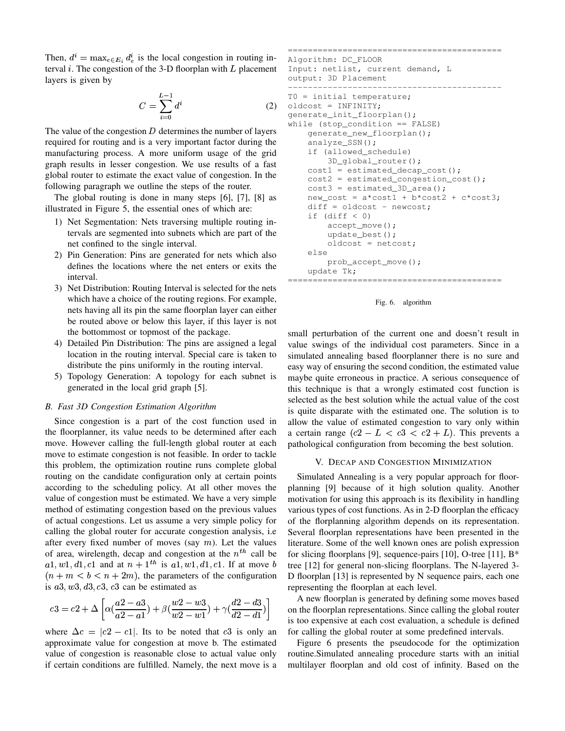Then,  $d^i = \max_{e \in E_i} d_e^i$  is the local congestion in routing interval  $i$ . The congestion of the 3-D floorplan with  $L$  placement layers is given by

$$
C = \sum_{i=0}^{L-1} d^i \tag{2}
$$

The value of the congestion  $D$  determines the number of layers required for routing and is a very important factor during the manufacturing process. A more uniform usage of the grid graph results in lesser congestion. We use results of a fast global router to estimate the exact value of congestion. In the following paragraph we outline the steps of the router.

The global routing is done in many steps [6], [7], [8] as illustrated in Figure 5, the essential ones of which are:

- 1) Net Segmentation: Nets traversing multiple routing intervals are segmented into subnets which are part of the net confined to the single interval.
- 2) Pin Generation: Pins are generated for nets which also defines the locations where the net enters or exits the interval.
- 3) Net Distribution: Routing Interval is selected for the nets which have a choice of the routing regions. For example, nets having all its pin the same floorplan layer can either be routed above or below this layer, if this layer is not the bottommost or topmost of the package.
- 4) Detailed Pin Distribution: The pins are assigned a legal location in the routing interval. Special care is taken to distribute the pins uniformly in the routing interval.
- 5) Topology Generation: A topology for each subnet is generated in the local grid graph [5].

# *B. Fast 3D Congestion Estimation Algorithm*

Since congestion is a part of the cost function used in the floorplanner, its value needs to be determined after each move. However calling the full-length global router at each move to estimate congestion is not feasible. In order to tackle this problem, the optimization routine runs complete global routing on the candidate configuration only at certain points according to the scheduling policy. At all other moves the value of congestion must be estimated. We have a very simple method of estimating congestion based on the previous values of actual congestions. Let us assume a very simple policy for calling the global router for accurate congestion analysis, i.e after every fixed number of moves (say  $m$ ). Let the values of area, wirelength, decap and congestion at the  $n<sup>th</sup>$  call be  $a1, w1, d1, c1$  and at  $n + 1$ <sup>th</sup> is  $a1, w1, d1, c1$ . If at move b tree [  $(n+m < b < n+2m)$ , the parameters of the configuration is  $a3, w3, d3, c3, c3$  can be estimated as

$$
c3 = c2 + \Delta \left[ \alpha \left( \frac{a2 - a3}{a2 - a1} \right) + \beta \left( \frac{w2 - w3}{w2 - w1} \right) + \gamma \left( \frac{d2 - d3}{d2 - d1} \right) \right] \quad \text{on } t
$$

where  $\Delta c = |c_2 - c_1|$ . Its to be noted that  $c_3$  is only an approximate value for congestion at move b. The estimated value of congestion is reasonable close to actual value only if certain conditions are fulfilled. Namely, the next move is a

=========================================== Algorithm: DC\_FLOOR Input: netlist, current demand, L output: 3D Placement ------------------------------------------- T0 = initial temperature; oldcost = INFINITY; generate\_init\_floorplan(); while (stop\_condition == FALSE) generate\_new\_floorplan(); analyze\_SSN(); if (allowed\_schedule) 3D\_global\_router(); cost1 = estimated\_decap\_cost(); cost2 = estimated\_congestion\_cost(); cost3 = estimated\_3D\_area(); new\_cost = a\*cost1 + b\*cost2 + c\*cost3; diff = oldcost - newcost; if (diff < 0) accept\_move(); update\_best(); oldcost = netcost; else prob\_accept\_move(); update Tk; ===========================================



small perturbation of the current one and doesn't result in value swings of the individual cost parameters. Since in a simulated annealing based floorplanner there is no sure and easy way of ensuring the second condition, the estimated value maybe quite erroneous in practice. A serious consequence of this technique is that a wrongly estimated cost function is selected as the best solution while the actual value of the cost is quite disparate with the estimated one. The solution is to allow the value of estimated congestion to vary only within a certain range  $(c2 - L < c3 < c2 + L)$ . This prevents a pathological configuration from becoming the best solution.

#### V. DECAP AND CONGESTION MINIMIZATION

Simulated Annealing is a very popular approach for floorplanning [9] because of it high solution quality. Another motivation for using this approach is its flexibility in handling various types of cost functions. As in 2-D floorplan the efficacy of the florplanning algorithm depends on its representation. Several floorplan representations have been presented in the literature. Some of the well known ones are polish expression for slicing floorplans [9], sequence-pairs [10], O-tree [11], B\* tree [12] for general non-slicing floorplans. The N-layered 3- D floorplan [13] is represented by N sequence pairs, each one representing the floorplan at each level.

 $\frac{32}{41}$ ) on the floorplan representations. Since calling the global router  $\frac{d}{dx}$  is too expensive at each cost evaluation, a schedule is defined A new floorplan is generated by defining some moves based for calling the global router at some predefined intervals.

> Figure 6 presents the pseudocode for the optimization routine.Simulated annealing procedure starts with an initial multilayer floorplan and old cost of infinity. Based on the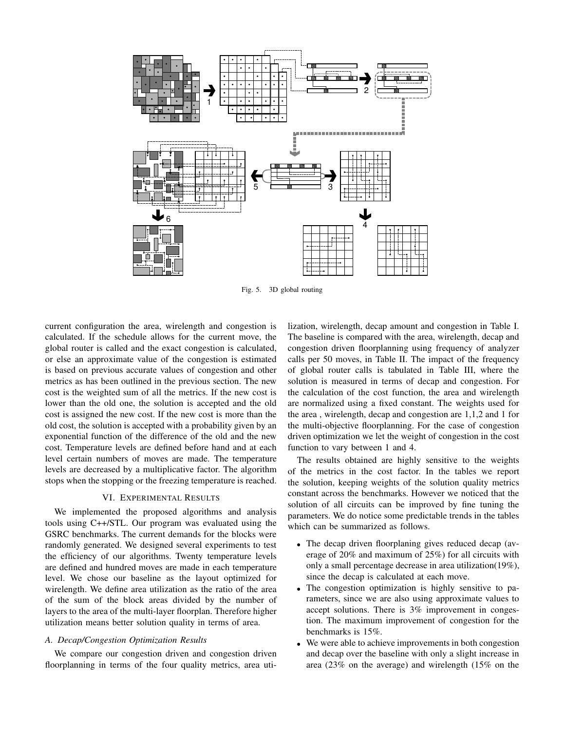

Fig. 5. 3D global routing

current configuration the area, wirelength and congestion is calculated. If the schedule allows for the current move, the global router is called and the exact congestion is calculated, or else an approximate value of the congestion is estimated is based on previous accurate values of congestion and other metrics as has been outlined in the previous section. The new cost is the weighted sum of all the metrics. If the new cost is lower than the old one, the solution is accepted and the old cost is assigned the new cost. If the new cost is more than the old cost, the solution is accepted with a probability given by an exponential function of the difference of the old and the new cost. Temperature levels are defined before hand and at each level certain numbers of moves are made. The temperature levels are decreased by a multiplicative factor. The algorithm stops when the stopping or the freezing temperature is reached.

# VI. EXPERIMENTAL RESULTS

We implemented the proposed algorithms and analysis tools using C++/STL. Our program was evaluated using the GSRC benchmarks. The current demands for the blocks were randomly generated. We designed several experiments to test the efficiency of our algorithms. Twenty temperature levels are defined and hundred moves are made in each temperature level. We chose our baseline as the layout optimized for wirelength. We define area utilization as the ratio of the area of the sum of the block areas divided by the number of layers to the area of the multi-layer floorplan. Therefore higher utilization means better solution quality in terms of area.

#### *A. Decap/Congestion Optimization Results*

We compare our congestion driven and congestion driven floorplanning in terms of the four quality metrics, area utilization, wirelength, decap amount and congestion in Table I. The baseline is compared with the area, wirelength, decap and congestion driven floorplanning using frequency of analyzer calls per 50 moves, in Table II. The impact of the frequency of global router calls is tabulated in Table III, where the solution is measured in terms of decap and congestion. For the calculation of the cost function, the area and wirelength are normalized using a fixed constant. The weights used for the area , wirelength, decap and congestion are 1,1,2 and 1 for the multi-objective floorplanning. For the case of congestion driven optimization we let the weight of congestion in the cost function to vary between 1 and 4.

The results obtained are highly sensitive to the weights of the metrics in the cost factor. In the tables we report the solution, keeping weights of the solution quality metrics constant across the benchmarks. However we noticed that the solution of all circuits can be improved by fine tuning the parameters. We do notice some predictable trends in the tables which can be summarized as follows.

- The decap driven floorplaning gives reduced decap (average of 20% and maximum of 25%) for all circuits with only a small percentage decrease in area utilization(19%), since the decap is calculated at each move.
- The congestion optimization is highly sensitive to parameters, since we are also using approximate values to accept solutions. There is 3% improvement in congestion. The maximum improvement of congestion for the benchmarks is 15%.
- <sup>Ã</sup> We were able to achieve improvements in both congestion and decap over the baseline with only a slight increase in area (23% on the average) and wirelength (15% on the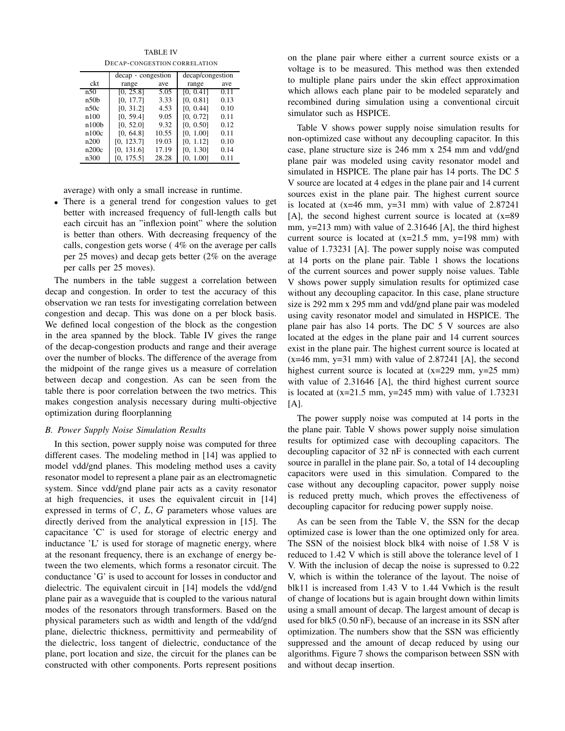TABLE IV DECAP-CONGESTION CORRELATION

|                   | decap congestion |       | decap/congestion |      |  |  |
|-------------------|------------------|-------|------------------|------|--|--|
| ckt               | range            | ave   | range            | ave  |  |  |
| n50               | $\sqrt{0, 25.8}$ | 5.05  | [0, 0.41]        | 0.11 |  |  |
| n50 <sub>b</sub>  | [0, 17.7]        | 3.33  | [0, 0.81]        | 0.13 |  |  |
| n50c              | [0, 31.2]        | 4.53  | [0, 0.44]        | 0.10 |  |  |
| n100              | [0, 59.4]        | 9.05  | [0, 0.72]        | 0.11 |  |  |
| n100 <sub>b</sub> | [0, 52.0]        | 9.32  | [0, 0.50]        | 0.12 |  |  |
| n100c             | [0, 64.8]        | 10.55 | [0, 1.00]        | 0.11 |  |  |
| n200              | [0, 123.7]       | 19.03 | [0, 1.12]        | 0.10 |  |  |
| n200c             | [0, 131.6]       | 17.19 | [0, 1.30]        | 0.14 |  |  |
| n300              | [0, 175.5]       | 28.28 | [0, 1.00]        | 0.11 |  |  |

average) with only a small increase in runtime.

• There is a general trend for congestion values to get better with increased frequency of full-length calls but each circuit has an "inflexion point" where the solution is better than others. With decreasing frequency of the calls, congestion gets worse ( 4% on the average per calls per 25 moves) and decap gets better (2% on the average per calls per 25 moves).

The numbers in the table suggest a correlation between decap and congestion. In order to test the accuracy of this observation we ran tests for investigating correlation between congestion and decap. This was done on a per block basis. We defined local congestion of the block as the congestion in the area spanned by the block. Table IV gives the range of the decap-congestion products and range and their average over the number of blocks. The difference of the average from the midpoint of the range gives us a measure of correlation between decap and congestion. As can be seen from the table there is poor correlation between the two metrics. This makes congestion analysis necessary during multi-objective optimization during floorplanning

#### *B. Power Supply Noise Simulation Results*

In this section, power supply noise was computed for three different cases. The modeling method in [14] was applied to model vdd/gnd planes. This modeling method uses a cavity resonator model to represent a plane pair as an electromagnetic system. Since vdd/gnd plane pair acts as a cavity resonator at high frequencies, it uses the equivalent circuit in [14] expressed in terms of  $C$ ,  $L$ ,  $G$  parameters whose values are directly derived from the analytical expression in [15]. The capacitance 'C' is used for storage of electric energy and inductance 'L' is used for storage of magnetic energy, where at the resonant frequency, there is an exchange of energy between the two elements, which forms a resonator circuit. The conductance 'G' is used to account for losses in conductor and dielectric. The equivalent circuit in [14] models the vdd/gnd plane pair as a waveguide that is coupled to the various natural modes of the resonators through transformers. Based on the physical parameters such as width and length of the vdd/gnd plane, dielectric thickness, permittivity and permeability of the dielectric, loss tangent of dielectric, conductance of the plane, port location and size, the circuit for the planes can be constructed with other components. Ports represent positions

on the plane pair where either a current source exists or a voltage is to be measured. This method was then extended to multiple plane pairs under the skin effect approximation which allows each plane pair to be modeled separately and recombined during simulation using a conventional circuit simulator such as HSPICE.

Table V shows power supply noise simulation results for non-optimized case without any decoupling capacitor. In this case, plane structure size is 246 mm x 254 mm and vdd/gnd plane pair was modeled using cavity resonator model and simulated in HSPICE. The plane pair has 14 ports. The DC 5 V source are located at 4 edges in the plane pair and 14 current sources exist in the plane pair. The highest current source is located at  $(x=46$  mm,  $y=31$  mm) with value of 2.87241 [A], the second highest current source is located at (x=89 mm, y=213 mm) with value of 2.31646 [A], the third highest current source is located at  $(x=21.5 \text{ mm}, y=198 \text{ mm})$  with value of 1.73231 [A]. The power supply noise was computed at 14 ports on the plane pair. Table 1 shows the locations of the current sources and power supply noise values. Table V shows power supply simulation results for optimized case without any decoupling capacitor. In this case, plane structure size is 292 mm x 295 mm and vdd/gnd plane pair was modeled using cavity resonator model and simulated in HSPICE. The plane pair has also 14 ports. The DC 5 V sources are also located at the edges in the plane pair and 14 current sources exist in the plane pair. The highest current source is located at  $(x=46$  mm,  $y=31$  mm) with value of 2.87241 [A], the second highest current source is located at  $(x=229 \text{ mm}, y=25 \text{ mm})$ with value of 2.31646 [A], the third highest current source is located at  $(x=21.5 \text{ mm}, y=245 \text{ mm})$  with value of 1.73231  $[A]$ .

The power supply noise was computed at 14 ports in the the plane pair. Table V shows power supply noise simulation results for optimized case with decoupling capacitors. The decoupling capacitor of 32 nF is connected with each current source in parallel in the plane pair. So, a total of 14 decoupling capacitors were used in this simulation. Compared to the case without any decoupling capacitor, power supply noise is reduced pretty much, which proves the effectiveness of decoupling capacitor for reducing power supply noise.

As can be seen from the Table V, the SSN for the decap optimized case is lower than the one optimized only for area. The SSN of the noisiest block blk4 with noise of 1.58 V is reduced to 1.42 V which is still above the tolerance level of 1 V. With the inclusion of decap the noise is supressed to 0.22 V, which is within the tolerance of the layout. The noise of blk11 is increased from 1.43 V to 1.44 Vwhich is the result of change of locations but is again brought down within limits using a small amount of decap. The largest amount of decap is used for blk5 (0.50 nF), because of an increase in its SSN after optimization. The numbers show that the SSN was efficiently suppressed and the amount of decap reduced by using our algorithms. Figure 7 shows the comparison between SSN with and without decap insertion.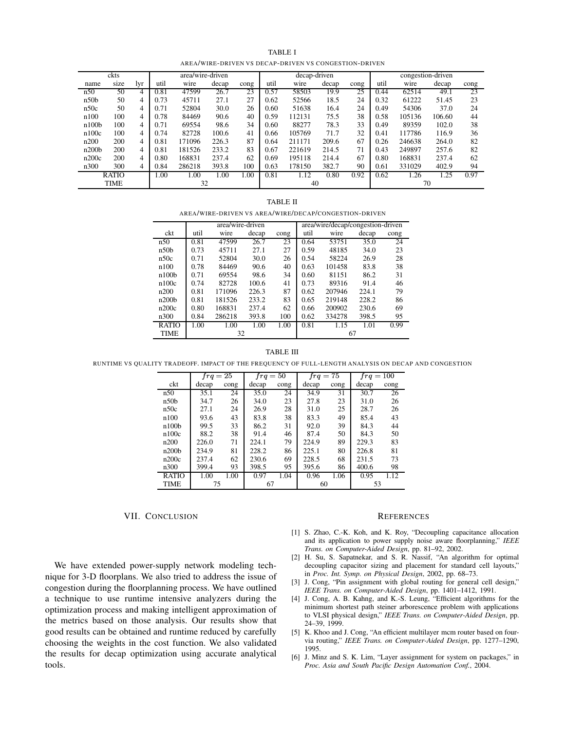| TABLE I                                               |
|-------------------------------------------------------|
| AREA/WIRE-DRIVEN VS DECAP-DRIVEN VS CONGESTION-DRIVEN |

|                   | ckts         |            |      | area/wire-driven |       |      | congestion-driven<br>decap-driven |        |       |      |      |        |        |      |
|-------------------|--------------|------------|------|------------------|-------|------|-----------------------------------|--------|-------|------|------|--------|--------|------|
| name              | size         | <b>lvr</b> | util | wire             | decap | cong | util                              | wire   | decap | cong | util | wire   | decap  | cong |
| n50               | 50           | 4          | 0.81 | 47599            | 26.7  | 23   | 0.57                              | 58503  | 19.9  | 25   | 0.44 | 62514  | 49.1   | 23   |
| n50 <sub>b</sub>  | 50           | 4          | 0.73 | 45711            | 27.1  | 27   | 0.62                              | 52566  | 18.5  | 24   | 0.32 | 61222  | 51.45  | 23   |
| n50c              | 50           | 4          | 0.71 | 52804            | 30.0  | 26   | 0.60                              | 51638  | 16.4  | 24   | 0.49 | 54306  | 37.0   | 24   |
| n100              | 100          | 4          | 0.78 | 84469            | 90.6  | 40   | 0.59                              | 112131 | 75.5  | 38   | 0.58 | 105136 | 106.60 | 44   |
| n100 <sub>b</sub> | 100          | 4          | 0.71 | 69554            | 98.6  | 34   | 0.60                              | 88277  | 78.3  | 33   | 0.49 | 89359  | 102.0  | 38   |
| n100c             | 100          | 4          | 0.74 | 82728            | 100.6 | 41   | 0.66                              | 105769 | 71.7  | 32   | 0.41 | 117786 | 116.9  | 36   |
| n200              | 200          | 4          | 0.81 | 171096           | 226.3 | 87   | 0.64                              | 211171 | 209.6 | 67   | 0.26 | 246638 | 264.0  | 82   |
| n200 <sub>b</sub> | 200          | 4          | 0.81 | 181526           | 233.2 | 83   | 0.67                              | 221619 | 214.5 | 71   | 0.43 | 249897 | 257.6  | 82   |
| n200c             | 200          | 4          | 0.80 | 168831           | 237.4 | 62   | 0.69                              | 195118 | 214.4 | 67   | 0.80 | 168831 | 237.4  | 62   |
| n300              | 300          | 4          | 0.84 | 286218           | 393.8 | 100  | 0.63                              | 178150 | 382.7 | 90   | 0.61 | 331029 | 402.9  | 94   |
|                   | <b>RATIO</b> |            | 1.00 | 1.00             | 1.00  | .00  | 0.81                              | 1.12   | 0.80  | 0.92 | 0.62 | 1.26   | 1.25   | 0.97 |
|                   | <b>TIME</b>  |            |      | 32               |       |      |                                   | 40     |       |      |      | 70     |        |      |

#### TABLE II

AREA/WIRE-DRIVEN VS AREA/WIRE/DECAP/CONGESTION-DRIVEN

|                   |      | area/wire-driven |       |      | area/wire/decap/congestion-driven |        |       |      |  |
|-------------------|------|------------------|-------|------|-----------------------------------|--------|-------|------|--|
| ckt               | util | wire             | decap | cong | util                              | wire   | decap | cong |  |
| n50               | 0.81 | 47599            | 26.7  | 23   | 0.64                              | 53751  | 35.0  | 24   |  |
| n50 <sub>b</sub>  | 0.73 | 45711            | 27.1  | 27   | 0.59                              | 48185  | 34.0  | 23   |  |
| n50c              | 0.71 | 52804            | 30.0  | 26   | 0.54                              | 58224  | 26.9  | 28   |  |
| n100              | 0.78 | 84469            | 90.6  | 40   | 0.63                              | 101458 | 83.8  | 38   |  |
| n100 <sub>b</sub> | 0.71 | 69554            | 98.6  | 34   | 0.60                              | 81151  | 86.2  | 31   |  |
| n100c             | 0.74 | 82728            | 100.6 | 41   | 0.73                              | 89316  | 91.4  | 46   |  |
| n200              | 0.81 | 171096           | 226.3 | 87   | 0.62                              | 207946 | 224.1 | 79   |  |
| n200 <sub>b</sub> | 0.81 | 181526           | 233.2 | 83   | 0.65                              | 219148 | 228.2 | 86   |  |
| n200c             | 0.80 | 168831           | 237.4 | 62   | 0.66                              | 200902 | 230.6 | 69   |  |
| n300              | 0.84 | 286218           | 393.8 | 100  | 0.62                              | 334278 | 398.5 | 95   |  |
| <b>RATIO</b>      | 1.00 | 1.00             | 1.00  | 1.00 | 0.81                              | 1.15   | 1.01  | 0.99 |  |
| <b>TIME</b>       |      | 32               |       |      |                                   | 67     |       |      |  |

#### TABLE III

RUNTIME VS QUALITY TRADEOFF. IMPACT OF THE FREQUENCY OF FULL-LENGTH ANALYSIS ON DECAP AND CONGESTION

|                   | $frq = 25$ |      | $frq = 50$ |      | $frq = 75$ |      | $frq = 100$ |      |
|-------------------|------------|------|------------|------|------------|------|-------------|------|
| ckt               | decap      | cong | decap      | cong | decap      | cong | decap       | cong |
| n50               | 35.1       | 24   | 35.0       | 24   | 34.9       | 31   | 30.7        | 26   |
| n50b              | 34.7       | 26   | 34.0       | 23   | 27.8       | 23   | 31.0        | 26   |
| n50c              | 27.1       | 24   | 26.9       | 28   | 31.0       | 25   | 28.7        | 26   |
| n100              | 93.6       | 43   | 83.8       | 38   | 83.3       | 49   | 85.4        | 43   |
| n100 <sub>b</sub> | 99.5       | 33   | 86.2       | 31   | 92.0       | 39   | 84.3        | 44   |
| n100c             | 88.2       | 38   | 91.4       | 46   | 87.4       | 50   | 84.3        | 50   |
| n200              | 226.0      | 71   | 224.1      | 79   | 224.9      | 89   | 229.3       | 83   |
| n200 <sub>b</sub> | 234.9      | 81   | 228.2      | 86   | 225.1      | 80   | 226.8       | 81   |
| n200c             | 237.4      | 62   | 230.6      | 69   | 228.5      | 68   | 231.5       | 73   |
| n300              | 399.4      | 93   | 398.5      | 95   | 395.6      | 86   | 400.6       | 98   |
| <b>RATIO</b>      | 1.00       | 1.00 | 0.97       | 1.04 | 0.96       | 1.06 | 0.95        | 1.12 |
| <b>TIME</b>       | 75         |      | 67         |      | 60         |      | 53          |      |

## VII. CONCLUSION

We have extended power-supply network modeling technique for 3-D floorplans. We also tried to address the issue of congestion during the floorplanning process. We have outlined a technique to use runtime intensive analyzers during the optimization process and making intelligent approximation of the metrics based on those analysis. Our results show that good results can be obtained and runtime reduced by carefully choosing the weights in the cost function. We also validated the results for decap optimization using accurate analytical tools.

#### **REFERENCES**

- [1] S. Zhao, C.-K. Koh, and K. Roy, "Decoupling capacitance allocation and its application to power supply noise aware floorplanning," *IEEE Trans. on Computer-Aided Design*, pp. 81–92, 2002.
- [2] H. Su, S. Sapatnekar, and S. R. Nassif, "An algorithm for optimal decoupling capacitor sizing and placement for standard cell layouts," in *Proc. Int. Symp. on Physical Design*, 2002, pp. 68–73.
- [3] J. Cong, "Pin assignment with global routing for general cell design," *IEEE Trans. on Computer-Aided Design*, pp. 1401–1412, 1991.
- [4] J. Cong, A. B. Kahng, and K.-S. Leung, "Efficient algorithms for the minimum shortest path steiner arborescence problem with applications to VLSI physical design," *IEEE Trans. on Computer-Aided Design*, pp. 24–39, 1999.
- [5] K. Khoo and J. Cong, "An efficient multilayer mcm router based on fourvia routing," *IEEE Trans. on Computer-Aided Design*, pp. 1277–1290, 1995.
- [6] J. Minz and S. K. Lim, "Layer assignment for system on packages," in *Proc. Asia and South Pacific Design Automation Conf.*, 2004.